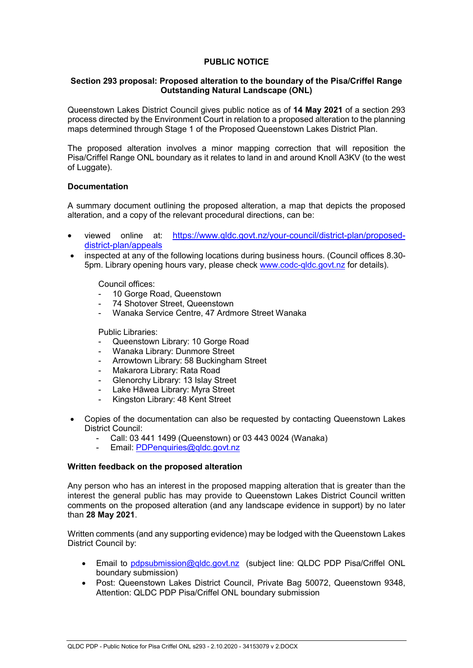# **PUBLIC NOTICE**

## **Section 293 proposal: Proposed alteration to the boundary of the Pisa/Criffel Range Outstanding Natural Landscape (ONL)**

Queenstown Lakes District Council gives public notice as of **14 May 2021** of a section 293 process directed by the Environment Court in relation to a proposed alteration to the planning maps determined through Stage 1 of the Proposed Queenstown Lakes District Plan.

The proposed alteration involves a minor mapping correction that will reposition the Pisa/Criffel Range ONL boundary as it relates to land in and around Knoll A3KV (to the west of Luggate).

## **Documentation**

A summary document outlining the proposed alteration, a map that depicts the proposed alteration, and a copy of the relevant procedural directions, can be:

- viewed online at: [https://www.qldc.govt.nz/your-council/district-plan/proposed](https://www.qldc.govt.nz/your-council/district-plan/proposed-district-plan/appeals)[district-plan/appeals](https://www.qldc.govt.nz/your-council/district-plan/proposed-district-plan/appeals)
- inspected at any of the following locations during business hours. (Council offices 8.30- 5pm. Library opening hours vary, please check [www.codc-qldc.govt.nz](https://codc-qldc.govt.nz/) for details).

Council offices:

- 10 Gorge Road, Queenstown
- 74 Shotover Street, Queenstown
- Wanaka Service Centre, 47 Ardmore Street Wanaka

Public Libraries:

- Queenstown Library: 10 Gorge Road
- Wanaka Library: Dunmore Street
- Arrowtown Library: 58 Buckingham Street
- Makarora Library: Rata Road
- Glenorchy Library: 13 Islay Street
- Lake Hāwea Library: Myra Street
- Kingston Library: 48 Kent Street
- Copies of the documentation can also be requested by contacting Queenstown Lakes District Council:
	- Call: 03 441 1499 (Queenstown) or 03 443 0024 (Wanaka)
	- Email: [PDPenquiries@qldc.govt.nz](mailto:PDPenquiries@qldc.govt.nz)

## **Written feedback on the proposed alteration**

Any person who has an interest in the proposed mapping alteration that is greater than the interest the general public has may provide to Queenstown Lakes District Council written comments on the proposed alteration (and any landscape evidence in support) by no later than **28 May 2021**.

Written comments (and any supporting evidence) may be lodged with the Queenstown Lakes District Council by:

- Email to [pdpsubmission@qldc.govt.nz](mailto:pdpsubmission@qldc.govt.nz) (subject line: QLDC PDP Pisa/Criffel ONL boundary submission)
- Post: Queenstown Lakes District Council, Private Bag 50072, Queenstown 9348, Attention: QLDC PDP Pisa/Criffel ONL boundary submission